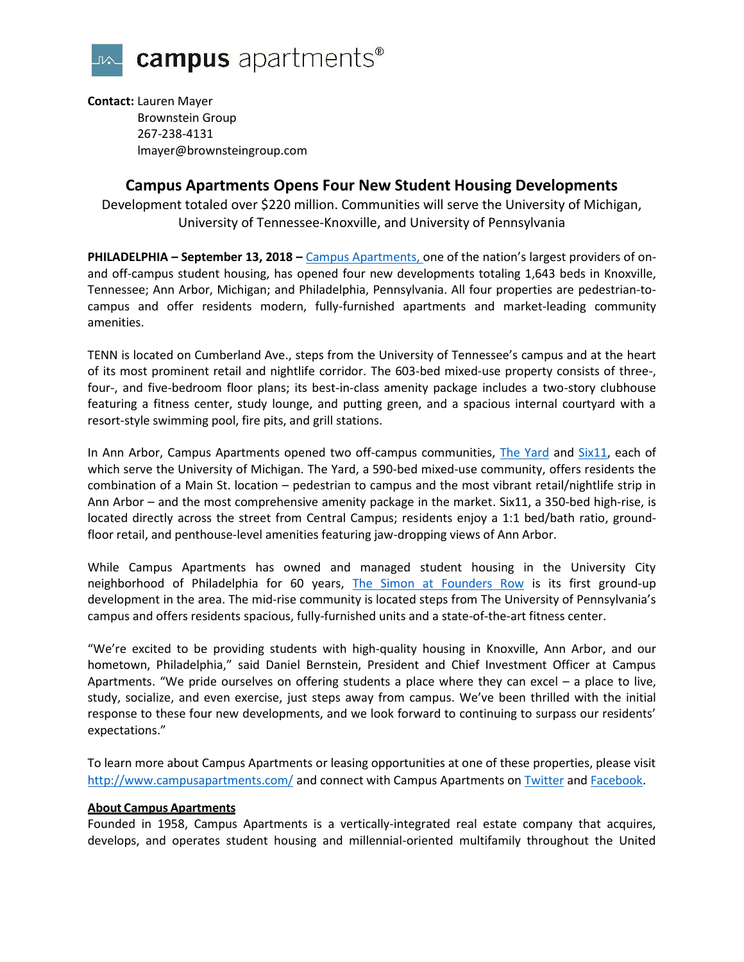

**Contact:** Lauren Mayer Brownstein Group 267-238-4131 lmayer@brownsteingroup.com

## **Campus Apartments Opens Four New Student Housing Developments**

Development totaled over \$220 million. Communities will serve the University of Michigan, University of Tennessee-Knoxville, and University of Pennsylvania

**PHILADELPHIA - September 13, 2018 - Campus Apartments, one of the nation's largest providers of on**and off-campus student housing, has opened four new developments totaling 1,643 beds in Knoxville, Tennessee; Ann Arbor, Michigan; and Philadelphia, Pennsylvania. All four properties are pedestrian-to campus and offer residents modern, fully-furnished apartments and market-leading community amenities.

TENN is located on Cumberland Ave., steps from the University of Tennessee's campus and at the heart of its most prominent retail and nightlife corridor. The 603-bed mixed-use property consists of three-, four-, and five-bedroom floor plans; its best-in-class amenity package includes a two-story clubhouse featuring a fitness center, study lounge, and putting green, and a spacious internal courtyard with a resort-style swimming pool, fire pits, and grill stations.

In Ann Arbor, Campus Apartments opened two off-campus communities, The Yard and Six11, each of which serve the University of Michigan. The Yard, a 590-bed mixed-use community, offers residents the combination of a Main St. location – pedestrian to campus and the most vibrant retail/nightlife strip in Ann Arbor – and the most comprehensive amenity package in the market. Six11, a 350-bed high-rise, is located directly across the street from Central Campus; residents enjoy a 1:1 bed/bath ratio, groundfloor retail, and penthouse-level amenities featuring jaw-dropping views of Ann Arbor.

While Campus Apartments has owned and managed student housing in the University City neighborhood of Philadelphia for 60 years, The Simon at Founders Row is its first ground-up development in the area. The mid-rise community is located steps from The University of Pennsylvania's campus and offers residents spacious, fully-furnished units and a state-of-the-art fitness center.

"We're excited to be providing students with high-quality housing in Knoxville, Ann Arbor, and our hometown, Philadelphia," said Daniel Bernstein, President and Chief Investment Officer at Campus Apartments. "We pride ourselves on offering students a place where they can excel – a place to live, study, socialize, and even exercise, just steps away from campus. We've been thrilled with the initial response to these four new developments, and we look forward to continuing to surpass our residents' expectations."

To learn more about Campus Apartments or leasing opportunities at one of these properties, please visit http://www.campusapartments.com/ and connect with Campus Apartments on Twitter and Facebook.

## **About Campus Apartments**

Founded in 1958, Campus Apartments is a vertically-integrated real estate company that acquires, develops, and operates student housing and millennial-oriented multifamily throughout the United